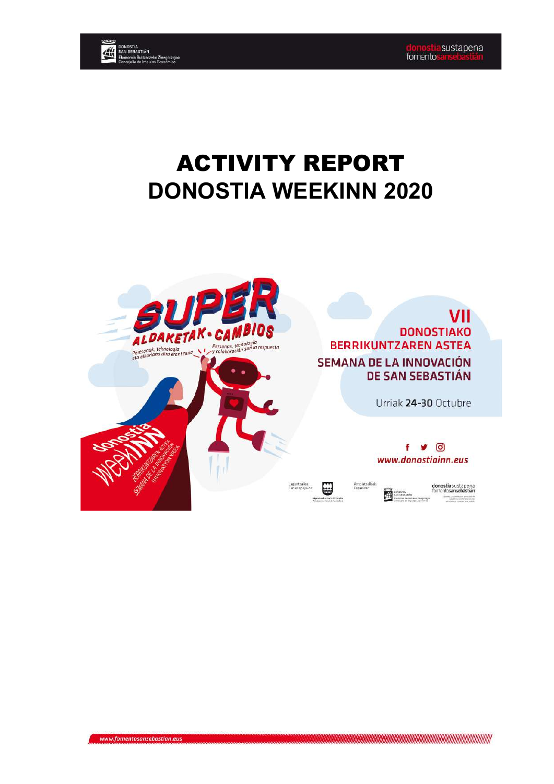VII



# ACTIVITY REPORT **DONOSTIA WEEKINN 2020**

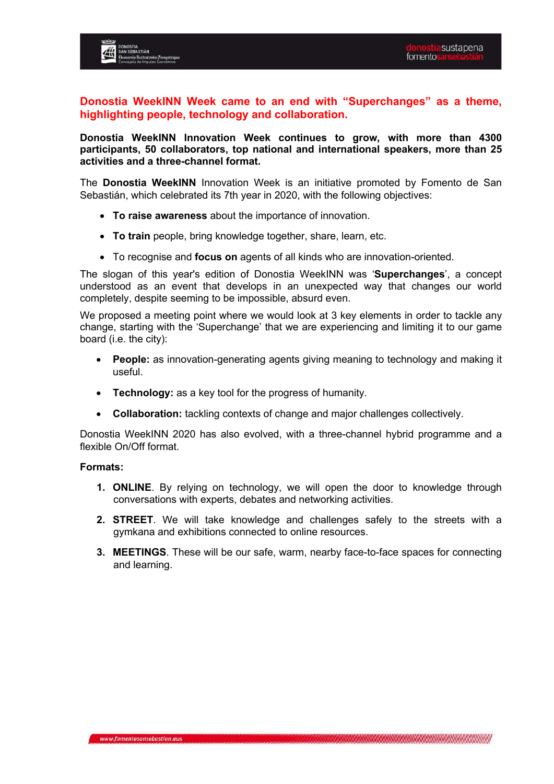

**Donostia WeekINN Week came to an end with "Superchanges" as a theme, highlighting people, technology and collaboration.**

**Donostia WeekINN Innovation Week continues to grow, with more than 4300 participants, 50 collaborators, top national and international speakers, more than 25 activities and a three-channel format.**

The **Donostia WeekINN** Innovation Week is an initiative promoted by Fomento de San Sebastián, which celebrated its 7th year in 2020, with the following objectives:

- **To raise awareness** about the importance of innovation.
- **To train** people, bring knowledge together, share, learn, etc.
- To recognise and **focus on** agents of all kinds who are innovation-oriented.

The slogan of this year's edition of Donostia WeekINN was '**Superchanges**', a concept understood as an event that develops in an unexpected way that changes our world completely, despite seeming to be impossible, absurd even.

We proposed a meeting point where we would look at 3 key elements in order to tackle any change, starting with the 'Superchange' that we are experiencing and limiting it to our game board (i.e. the city):

- **People:** as innovation-generating agents giving meaning to technology and making it useful.
- **Technology:** as a key tool for the progress of humanity.
- **Collaboration:** tackling contexts of change and major challenges collectively.

Donostia WeekINN 2020 has also evolved, with a three-channel hybrid programme and a flexible On/Off format.

#### **Formats:**

- **1. ONLINE**. By relying on technology, we will open the door to knowledge through conversations with experts, debates and networking activities.
- **2. STREET**. We will take knowledge and challenges safely to the streets with a gymkana and exhibitions connected to online resources.
- **3. MEETINGS**. These will be our safe, warm, nearby face-to-face spaces for connecting and learning.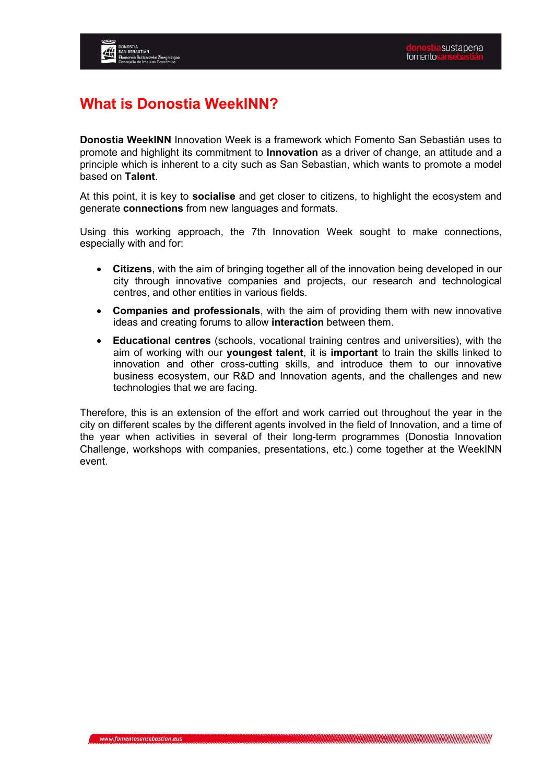# **What is Donostia WeekINN?**

**Donostia WeekINN** Innovation Week is a framework which Fomento San Sebastián uses to promote and highlight its commitment to **Innovation** as a driver of change, an attitude and a principle which is inherent to a city such as San Sebastian, which wants to promote a model based on **Talent**.

At this point, it is key to **socialise** and get closer to citizens, to highlight the ecosystem and generate **connections** from new languages and formats.

Using this working approach, the 7th Innovation Week sought to make connections, especially with and for:

- **Citizens**, with the aim of bringing together all of the innovation being developed in our city through innovative companies and projects, our research and technological centres, and other entities in various fields.
- **Companies and professionals**, with the aim of providing them with new innovative ideas and creating forums to allow **interaction** between them.
- **Educational centres** (schools, vocational training centres and universities), with the aim of working with our **youngest talent**, it is **important** to train the skills linked to innovation and other cross-cutting skills, and introduce them to our innovative business ecosystem, our R&D and Innovation agents, and the challenges and new technologies that we are facing.

Therefore, this is an extension of the effort and work carried out throughout the year in the city on different scales by the different agents involved in the field of Innovation, and a time of the year when activities in several of their long-term programmes (Donostia Innovation Challenge, workshops with companies, presentations, etc.) come together at the WeekINN event.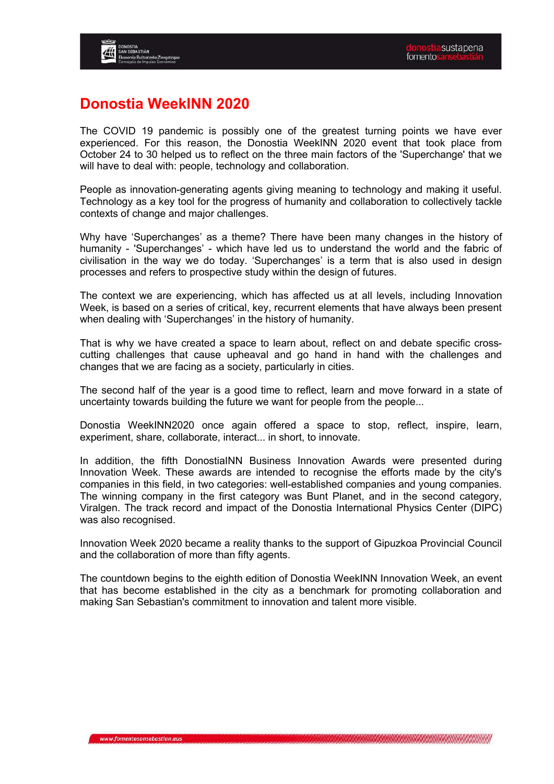

#### **Donostia WeekINN 2020**

The COVID 19 pandemic is possibly one of the greatest turning points we have ever experienced. For this reason, the Donostia WeekINN 2020 event that took place from October 24 to 30 helped us to reflect on the three main factors of the 'Superchange' that we will have to deal with: people, technology and collaboration.

People as innovation-generating agents giving meaning to technology and making it useful. Technology as a key tool for the progress of humanity and collaboration to collectively tackle contexts of change and major challenges.

Why have 'Superchanges' as a theme? There have been many changes in the history of humanity - 'Superchanges' - which have led us to understand the world and the fabric of civilisation in the way we do today. 'Superchanges' is a term that is also used in design processes and refers to prospective study within the design of futures.

The context we are experiencing, which has affected us at all levels, including Innovation Week, is based on a series of critical, key, recurrent elements that have always been present when dealing with 'Superchanges' in the history of humanity.

That is why we have created a space to learn about, reflect on and debate specific crosscutting challenges that cause upheaval and go hand in hand with the challenges and changes that we are facing as a society, particularly in cities.

The second half of the year is a good time to reflect, learn and move forward in a state of uncertainty towards building the future we want for people from the people...

Donostia WeekINN2020 once again offered a space to stop, reflect, inspire, learn, experiment, share, collaborate, interact... in short, to innovate.

In addition, the fifth DonostiaINN Business Innovation Awards were presented during Innovation Week. These awards are intended to recognise the efforts made by the city's companies in this field, in two categories: well-established companies and young companies. The winning company in the first category was Bunt Planet, and in the second category, Viralgen. The track record and impact of the Donostia International Physics Center (DIPC) was also recognised.

Innovation Week 2020 became a reality thanks to the support of Gipuzkoa Provincial Council and the collaboration of more than fifty agents.

The countdown begins to the eighth edition of Donostia WeekINN Innovation Week, an event that has become established in the city as a benchmark for promoting collaboration and making San Sebastian's commitment to innovation and talent more visible.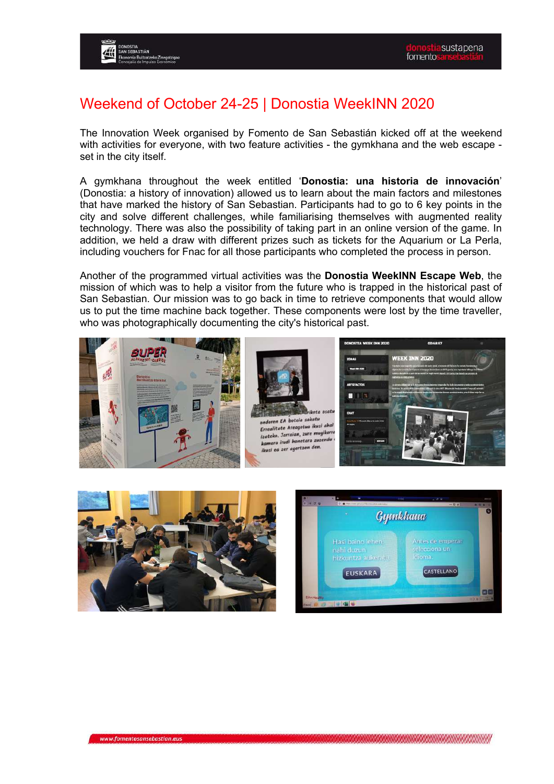#### Weekend of October 24-25 | Donostia WeekINN 2020

The Innovation Week organised by Fomento de San Sebastián kicked off at the weekend with activities for everyone, with two feature activities - the gymkhana and the web escape set in the city itself.

A gymkhana throughout the week entitled '**Donostia: una historia de innovación**' (Donostia: a history of innovation) allowed us to learn about the main factors and milestones that have marked the history of San Sebastian. Participants had to go to 6 key points in the city and solve different challenges, while familiarising themselves with augmented reality technology. There was also the possibility of taking part in an online version of the game. In addition, we held a draw with different prizes such as tickets for the Aquarium or La Perla, including vouchers for Fnac for all those participants who completed the process in person.

Another of the programmed virtual activities was the **Donostia WeekINN Escape Web**, the mission of which was to help a visitor from the future who is trapped in the historical past of San Sebastian. Our mission was to go back in time to retrieve components that would allow us to put the time machine back together. These components were lost by the time traveller, who was photographically documenting the city's historical past.





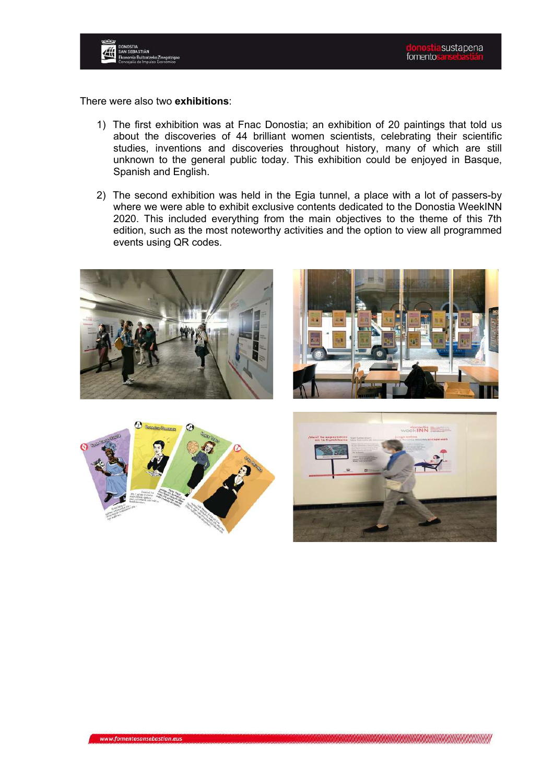

There were also two **exhibitions**:

- 1) The first exhibition was at Fnac Donostia; an exhibition of 20 paintings that told us about the discoveries of 44 brilliant women scientists, celebrating their scientific studies, inventions and discoveries throughout history, many of which are still unknown to the general public today. This exhibition could be enjoyed in Basque, Spanish and English.
- 2) The second exhibition was held in the Egia tunnel, a place with a lot of passers-by where we were able to exhibit exclusive contents dedicated to the Donostia WeekINN 2020. This included everything from the main objectives to the theme of this 7th edition, such as the most noteworthy activities and the option to view all programmed events using QR codes.







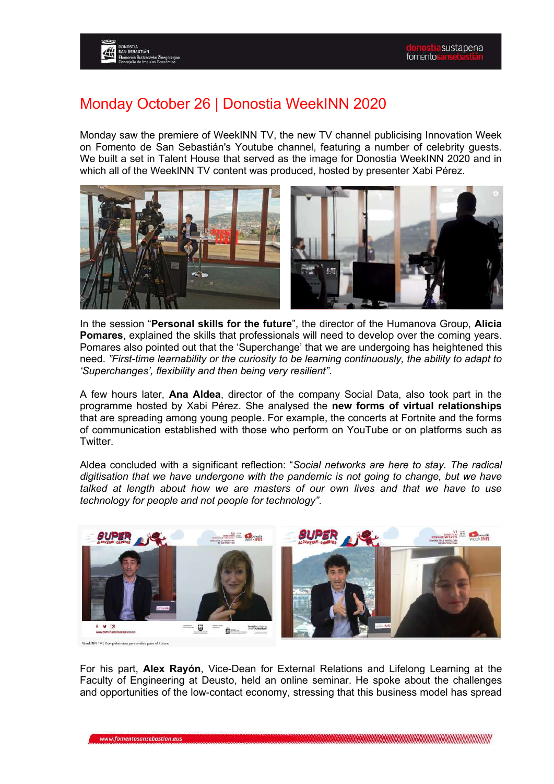#### Monday October 26 | Donostia WeekINN 2020

Monday saw the premiere of WeekINN TV, the new TV channel publicising Innovation Week on Fomento de San Sebastián's Youtube channel, featuring a number of celebrity guests. We built a set in Talent House that served as the image for Donostia WeekINN 2020 and in which all of the WeekINN TV content was produced, hosted by presenter Xabi Pérez.



In the session "**Personal skills for the future**", the director of the Humanova Group, **Alicia Pomares**, explained the skills that professionals will need to develop over the coming years. Pomares also pointed out that the 'Superchange' that we are undergoing has heightened this need. *"First-time learnability or the curiosity to be learning continuously, the ability to adapt to 'Superchanges', flexibility and then being very resilient"*.

A few hours later, **Ana Aldea**, director of the company Social Data, also took part in the programme hosted by Xabi Pérez. She analysed the **new forms of virtual relationships** that are spreading among young people. For example, the concerts at Fortnite and the forms of communication established with those who perform on YouTube or on platforms such as Twitter.

Aldea concluded with a significant reflection: "*Social networks are here to stay. The radical digitisation that we have undergone with the pandemic is not going to change, but we have talked at length about how we are masters of our own lives and that we have to use technology for people and not people for technology"*.



For his part, **Alex Rayón**, Vice-Dean for External Relations and Lifelong Learning at the Faculty of Engineering at Deusto, held an online seminar. He spoke about the challenges and opportunities of the low-contact economy, stressing that this business model has spread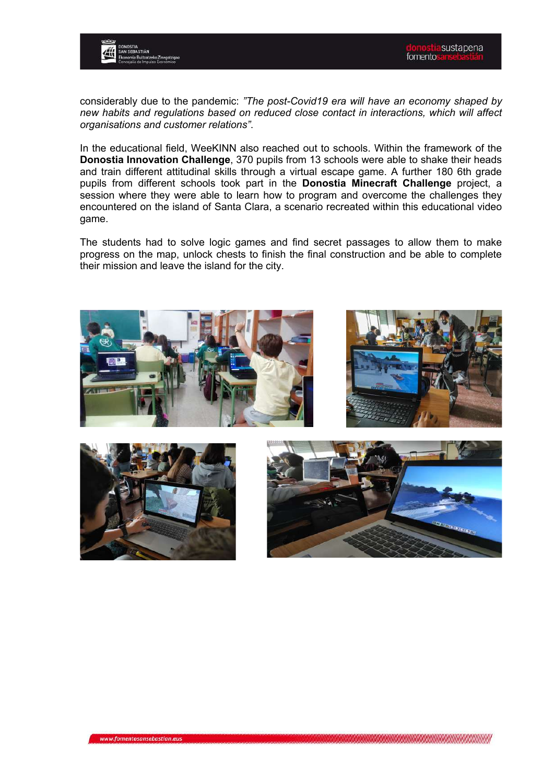

considerably due to the pandemic: *"The post-Covid19 era will have an economy shaped by new habits and regulations based on reduced close contact in interactions, which will affect organisations and customer relations"*.

In the educational field, WeeKINN also reached out to schools. Within the framework of the **Donostia Innovation Challenge**, 370 pupils from 13 schools were able to shake their heads and train different attitudinal skills through a virtual escape game. A further 180 6th grade pupils from different schools took part in the **Donostia Minecraft Challenge** project, a session where they were able to learn how to program and overcome the challenges they encountered on the island of Santa Clara, a scenario recreated within this educational video game.

The students had to solve logic games and find secret passages to allow them to make progress on the map, unlock chests to finish the final construction and be able to complete their mission and leave the island for the city.





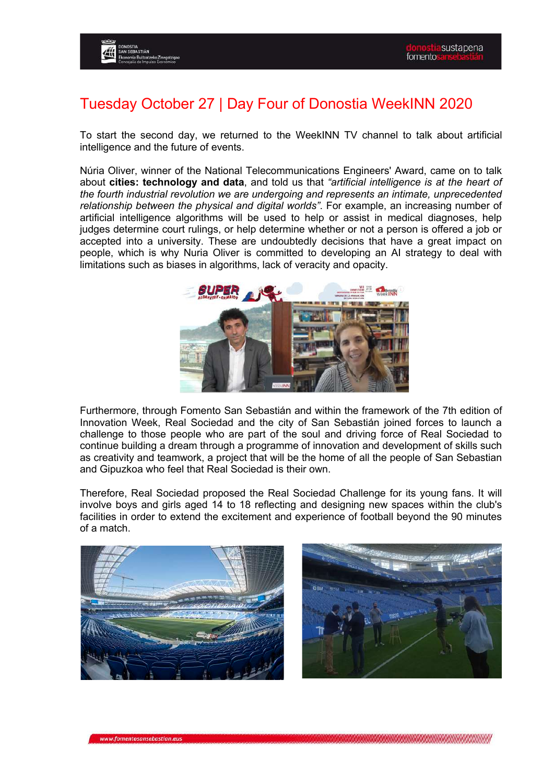#### Tuesday October 27 | Day Four of Donostia WeekINN 2020

To start the second day, we returned to the WeekINN TV channel to talk about artificial intelligence and the future of events.

Núria Oliver, winner of the National Telecommunications Engineers' Award, came on to talk about **cities: technology and data**, and told us that *"artificial intelligence is at the heart of the fourth industrial revolution we are undergoing and represents an intimate, unprecedented relationship between the physical and digital worlds"*. For example, an increasing number of artificial intelligence algorithms will be used to help or assist in medical diagnoses, help judges determine court rulings, or help determine whether or not a person is offered a job or accepted into a university. These are undoubtedly decisions that have a great impact on people, which is why Nuria Oliver is committed to developing an AI strategy to deal with limitations such as biases in algorithms, lack of veracity and opacity.



Furthermore, through Fomento San Sebastián and within the framework of the 7th edition of Innovation Week, Real Sociedad and the city of San Sebastián joined forces to launch a challenge to those people who are part of the soul and driving force of Real Sociedad to continue building a dream through a programme of innovation and development of skills such as creativity and teamwork, a project that will be the home of all the people of San Sebastian and Gipuzkoa who feel that Real Sociedad is their own.

Therefore, Real Sociedad proposed the Real Sociedad Challenge for its young fans. It will involve boys and girls aged 14 to 18 reflecting and designing new spaces within the club's facilities in order to extend the excitement and experience of football beyond the 90 minutes of a match.



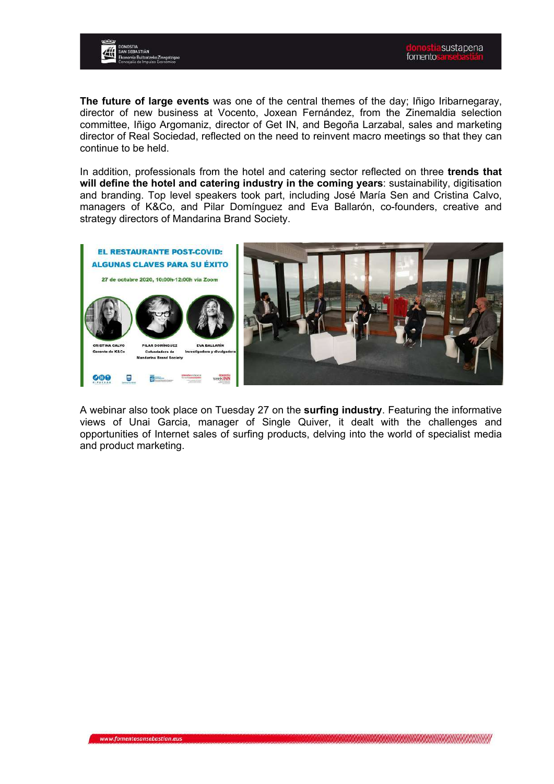



**The future of large events** was one of the central themes of the day; Iñigo Iribarnegaray, director of new business at Vocento, Joxean Fernández, from the Zinemaldia selection committee, Iñigo Argomaniz, director of Get IN, and Begoña Larzabal, sales and marketing director of Real Sociedad, reflected on the need to reinvent macro meetings so that they can continue to be held.

In addition, professionals from the hotel and catering sector reflected on three **trends that will define the hotel and catering industry in the coming years**: sustainability, digitisation and branding. Top level speakers took part, including José María Sen and Cristina Calvo, managers of K&Co, and Pilar Domínguez and Eva Ballarón, co-founders, creative and strategy directors of Mandarina Brand Society.



A webinar also took place on Tuesday 27 on the **surfing industry**. Featuring the informative views of Unai Garcia, manager of Single Quiver, it dealt with the challenges and opportunities of Internet sales of surfing products, delving into the world of specialist media and product marketing.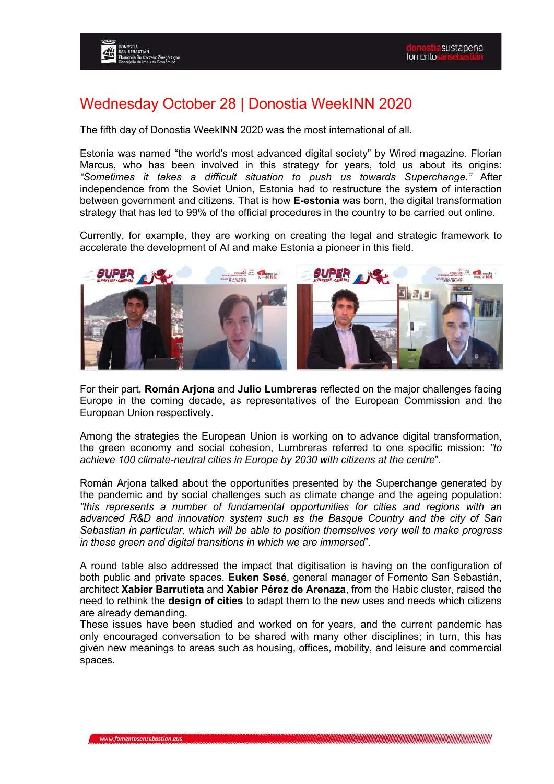#### Wednesday October 28 | Donostia WeekINN 2020

The fifth day of Donostia WeekINN 2020 was the most international of all.

Estonia was named "the world's most advanced digital society" by Wired magazine. Florian Marcus, who has been involved in this strategy for years, told us about its origins: *"Sometimes it takes a difficult situation to push us towards Superchange."* After independence from the Soviet Union, Estonia had to restructure the system of interaction between government and citizens. That is how **E-estonia** was born, the digital transformation strategy that has led to 99% of the official procedures in the country to be carried out online.

Currently, for example, they are working on creating the legal and strategic framework to accelerate the development of AI and make Estonia a pioneer in this field.



For their part, **Román Arjona** and **Julio Lumbreras** reflected on the major challenges facing Europe in the coming decade, as representatives of the European Commission and the European Union respectively.

Among the strategies the European Union is working on to advance digital transformation, the green economy and social cohesion, Lumbreras referred to one specific mission: *"to achieve 100 climate-neutral cities in Europe by 2030 with citizens at the centre*".

Román Arjona talked about the opportunities presented by the Superchange generated by the pandemic and by social challenges such as climate change and the ageing population: *"this represents a number of fundamental opportunities for cities and regions with an advanced R&D and innovation system such as the Basque Country and the city of San Sebastian in particular, which will be able to position themselves very well to make progress in these green and digital transitions in which we are immersed*".

A round table also addressed the impact that digitisation is having on the configuration of both public and private spaces. **Euken Sesé**, general manager of Fomento San Sebastián, architect **Xabier Barrutieta** and **Xabier Pérez de Arenaza**, from the Habic cluster, raised the need to rethink the **design of cities** to adapt them to the new uses and needs which citizens are already demanding.

These issues have been studied and worked on for years, and the current pandemic has only encouraged conversation to be shared with many other disciplines; in turn, this has given new meanings to areas such as housing, offices, mobility, and leisure and commercial spaces.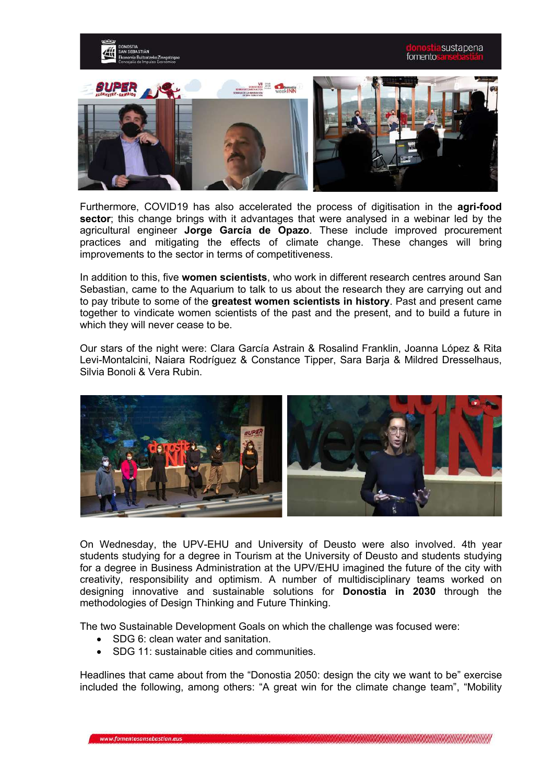

Furthermore, COVID19 has also accelerated the process of digitisation in the **agri-food sector**; this change brings with it advantages that were analysed in a webinar led by the agricultural engineer **Jorge García de Opazo**. These include improved procurement practices and mitigating the effects of climate change. These changes will bring improvements to the sector in terms of competitiveness.

In addition to this, five **women scientists**, who work in different research centres around San Sebastian, came to the Aquarium to talk to us about the research they are carrying out and to pay tribute to some of the **greatest women scientists in history**. Past and present came together to vindicate women scientists of the past and the present, and to build a future in which they will never cease to be.

Our stars of the night were: Clara García Astrain & Rosalind Franklin, Joanna López & Rita Levi-Montalcini, Naiara Rodríguez & Constance Tipper, Sara Barja & Mildred Dresselhaus, Silvia Bonoli & Vera Rubin.



On Wednesday, the UPV-EHU and University of Deusto were also involved. 4th year students studying for a degree in Tourism at the University of Deusto and students studying for a degree in Business Administration at the UPV/EHU imagined the future of the city with creativity, responsibility and optimism. A number of multidisciplinary teams worked on designing innovative and sustainable solutions for **Donostia in 2030** through the methodologies of Design Thinking and Future Thinking.

The two Sustainable Development Goals on which the challenge was focused were:

- SDG 6: clean water and sanitation.
- SDG 11: sustainable cities and communities.

Headlines that came about from the "Donostia 2050: design the city we want to be" exercise included the following, among others: "A great win for the climate change team", "Mobility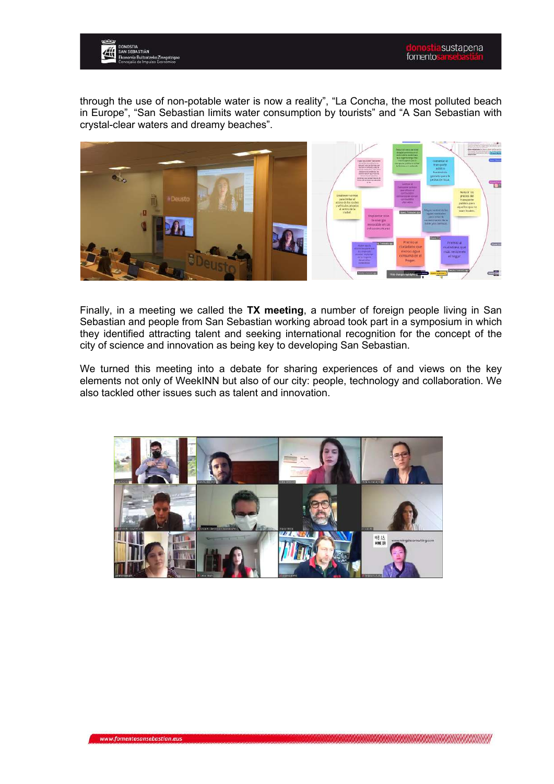

through the use of non-potable water is now a reality", "La Concha, the most polluted beach in Europe", "San Sebastian limits water consumption by tourists" and "A San Sebastian with crystal-clear waters and dreamy beaches".



Finally, in a meeting we called the **TX meeting**, a number of foreign people living in San Sebastian and people from San Sebastian working abroad took part in a symposium in which they identified attracting talent and seeking international recognition for the concept of the city of science and innovation as being key to developing San Sebastian.

We turned this meeting into a debate for sharing experiences of and views on the key elements not only of WeekINN but also of our city: people, technology and collaboration. We also tackled other issues such as talent and innovation.

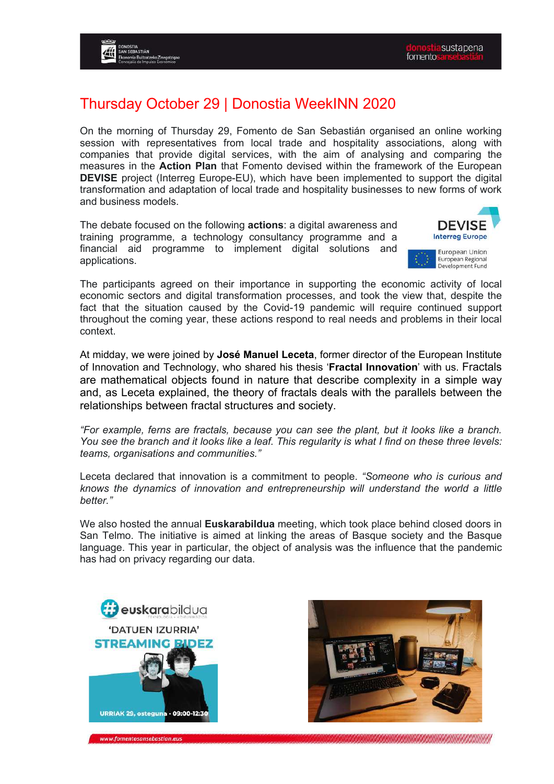#### Thursday October 29 | Donostia WeekINN 2020

On the morning of Thursday 29, Fomento de San Sebastián organised an online working session with representatives from local trade and hospitality associations, along with companies that provide digital services, with the aim of analysing and comparing the measures in the **Action Plan** that Fomento devised within the framework of the European **DEVISE** project (Interreg Europe-EU), which have been implemented to support the digital transformation and adaptation of local trade and hospitality businesses to new forms of work and business models.

The debate focused on the following **actions**: a digital awareness and training programme, a technology consultancy programme and a financial aid programme to implement digital solutions and applications.



The participants agreed on their importance in supporting the economic activity of local economic sectors and digital transformation processes, and took the view that, despite the fact that the situation caused by the Covid-19 pandemic will require continued support throughout the coming year, these actions respond to real needs and problems in their local context.

At midday, we were joined by **José Manuel Leceta**, former director of the European Institute of Innovation and Technology, who shared his thesis '**Fractal Innovation**' with us. Fractals are mathematical objects found in nature that describe complexity in a simple way and, as Leceta explained, the theory of fractals deals with the parallels between the relationships between fractal structures and society.

*"For example, ferns are fractals, because you can see the plant, but it looks like a branch. You see the branch and it looks like a leaf. This regularity is what I find on these three levels: teams, organisations and communities."*

Leceta declared that innovation is a commitment to people. *"Someone who is curious and knows the dynamics of innovation and entrepreneurship will understand the world a little better."*

We also hosted the annual **Euskarabildua** meeting, which took place behind closed doors in San Telmo. The initiative is aimed at linking the areas of Basque society and the Basque language. This year in particular, the object of analysis was the influence that the pandemic has had on privacy regarding our data.



www.fomentosansebastian.eus

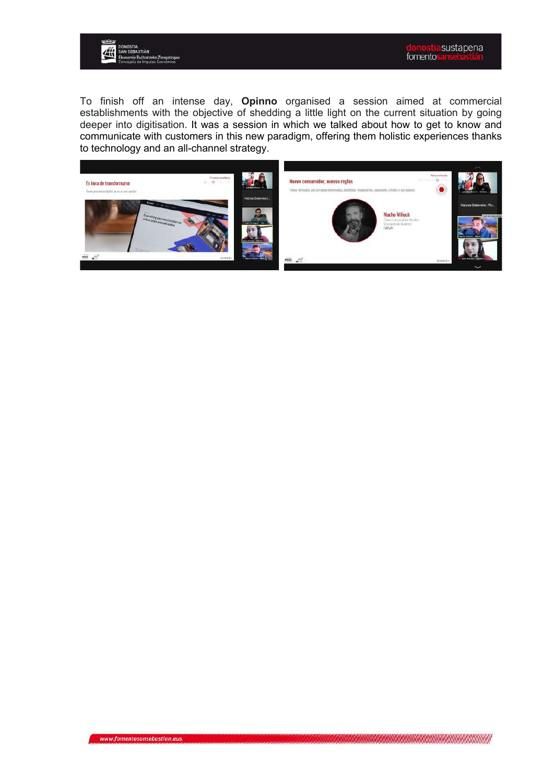![](_page_14_Picture_0.jpeg)

To finish off an intense day, **Opinno** organised a session aimed at commercial establishments with the objective of shedding a little light on the current situation by going deeper into digitisation. It was a session in which we talked about how to get to know and communicate with customers in this new paradigm, offering them holistic experiences thanks to technology and an all-channel strategy.

![](_page_14_Picture_3.jpeg)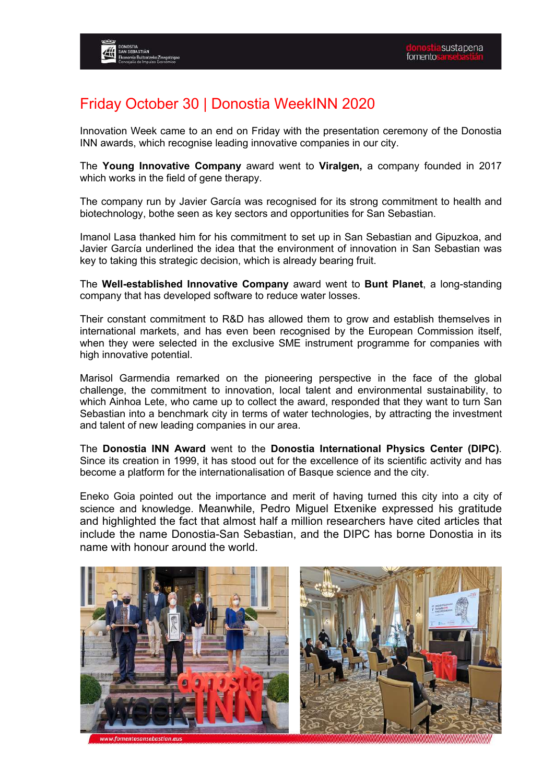# Friday October 30 | Donostia WeekINN 2020

Innovation Week came to an end on Friday with the presentation ceremony of the Donostia INN awards, which recognise leading innovative companies in our city.

The **Young Innovative Company** award went to **Viralgen,** a company founded in 2017 which works in the field of gene therapy.

The company run by Javier García was recognised for its strong commitment to health and biotechnology, bothe seen as key sectors and opportunities for San Sebastian.

Imanol Lasa thanked him for his commitment to set up in San Sebastian and Gipuzkoa, and Javier García underlined the idea that the environment of innovation in San Sebastian was key to taking this strategic decision, which is already bearing fruit.

The **Well-established Innovative Company** award went to **Bunt Planet**, a long-standing company that has developed software to reduce water losses.

Their constant commitment to R&D has allowed them to grow and establish themselves in international markets, and has even been recognised by the European Commission itself, when they were selected in the exclusive SME instrument programme for companies with high innovative potential.

Marisol Garmendia remarked on the pioneering perspective in the face of the global challenge, the commitment to innovation, local talent and environmental sustainability, to which Ainhoa Lete, who came up to collect the award, responded that they want to turn San Sebastian into a benchmark city in terms of water technologies, by attracting the investment and talent of new leading companies in our area.

The **Donostia INN Award** went to the **Donostia International Physics Center (DIPC)**. Since its creation in 1999, it has stood out for the excellence of its scientific activity and has become a platform for the internationalisation of Basque science and the city.

Eneko Goia pointed out the importance and merit of having turned this city into a city of science and knowledge. Meanwhile, Pedro Miguel Etxenike expressed his gratitude and highlighted the fact that almost half a million researchers have cited articles that include the name Donostia-San Sebastian, and the DIPC has borne Donostia in its name with honour around the world.

![](_page_15_Picture_12.jpeg)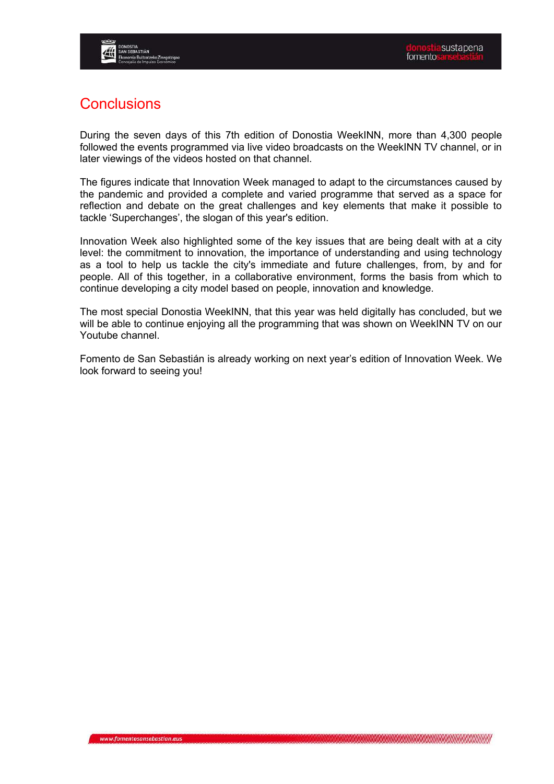![](_page_16_Picture_0.jpeg)

#### **Conclusions**

During the seven days of this 7th edition of Donostia WeekINN, more than 4,300 people followed the events programmed via live video broadcasts on the WeekINN TV channel, or in later viewings of the videos hosted on that channel.

The figures indicate that Innovation Week managed to adapt to the circumstances caused by the pandemic and provided a complete and varied programme that served as a space for reflection and debate on the great challenges and key elements that make it possible to tackle 'Superchanges', the slogan of this year's edition.

Innovation Week also highlighted some of the key issues that are being dealt with at a city level: the commitment to innovation, the importance of understanding and using technology as a tool to help us tackle the city's immediate and future challenges, from, by and for people. All of this together, in a collaborative environment, forms the basis from which to continue developing a city model based on people, innovation and knowledge.

The most special Donostia WeekINN, that this year was held digitally has concluded, but we will be able to continue enjoying all the programming that was shown on WeekINN TV on our Youtube channel.

Fomento de San Sebastián is already working on next year's edition of Innovation Week. We look forward to seeing you!